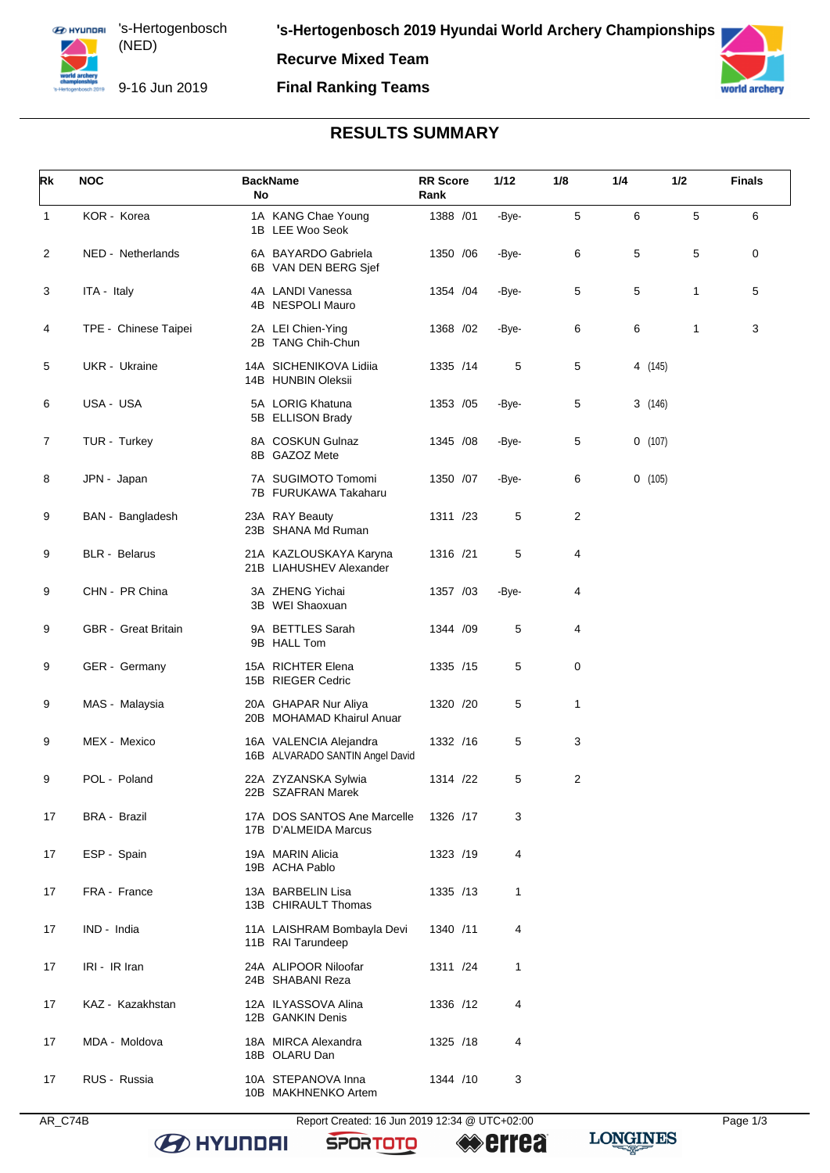**Recurve Mixed Team**

### **Final Ranking Teams**



# **RESULTS SUMMARY**

| Rk             | <b>NOC</b>           | <b>BackName</b><br>No                                     | <b>RR</b> Score<br>Rank | 1/12  | 1/8 | 1/4 | 1/2     | <b>Finals</b> |
|----------------|----------------------|-----------------------------------------------------------|-------------------------|-------|-----|-----|---------|---------------|
| $\mathbf{1}$   | KOR - Korea          | 1A KANG Chae Young<br>1B LEE Woo Seok                     | 1388 /01                | -Bye- | 5   | 6   | 5       | 6             |
| 2              | NED - Netherlands    | 6A BAYARDO Gabriela<br>6B VAN DEN BERG Sjef               | 1350 / 06               | -Bye- | 6   | 5   | 5       | 0             |
| 3              | ITA - Italy          | 4A LANDI Vanessa<br>4B NESPOLI Mauro                      | 1354 / 04               | -Bye- | 5   | 5   | 1       | 5             |
| 4              | TPE - Chinese Taipei | 2A LEI Chien-Ying<br>2B TANG Chih-Chun                    | 1368 / 02               | -Bye- | 6   | 6   | 1       | 3             |
| 5              | UKR - Ukraine        | 14A SICHENIKOVA Lidiia<br>14B HUNBIN Oleksii              | 1335 /14                | 5     | 5   |     | 4 (145) |               |
| 6              | USA - USA            | 5A LORIG Khatuna<br>5B ELLISON Brady                      | 1353 / 05               | -Bye- | 5   |     | 3(146)  |               |
| $\overline{7}$ | TUR - Turkey         | 8A COSKUN Gulnaz<br>8B GAZOZ Mete                         | 1345 / 08               | -Bye- | 5   |     | 0(107)  |               |
| 8              | JPN - Japan          | 7A SUGIMOTO Tomomi<br>7B FURUKAWA Takaharu                | 1350 /07                | -Bye- | 6   |     | 0(105)  |               |
| 9              | BAN - Bangladesh     | 23A RAY Beauty<br>23B SHANA Md Ruman                      | 1311 /23                | 5     | 2   |     |         |               |
| 9              | <b>BLR</b> - Belarus | 21A KAZLOUSKAYA Karyna<br>21B LIAHUSHEV Alexander         | 1316 /21                | 5     | 4   |     |         |               |
| 9              | CHN - PR China       | 3A ZHENG Yichai<br>3B WEI Shaoxuan                        | 1357 /03                | -Bye- | 4   |     |         |               |
| 9              | GBR - Great Britain  | 9A BETTLES Sarah<br>9B HALL Tom                           | 1344 /09                | 5     | 4   |     |         |               |
| 9              | GER - Germany        | 15A RICHTER Elena<br>15B RIEGER Cedric                    | 1335 /15                | 5     | 0   |     |         |               |
| 9              | MAS - Malaysia       | 20A GHAPAR Nur Aliya<br>20B MOHAMAD Khairul Anuar         | 1320 /20                | 5     | 1   |     |         |               |
| 9              | MEX - Mexico         | 16A VALENCIA Alejandra<br>16B ALVARADO SANTIN Angel David | 1332 /16                | 5     | 3   |     |         |               |
| 9              | POL - Poland         | 22A ZYZANSKA Sylwia<br>22B SZAFRAN Marek                  | 1314 /22                | 5     | 2   |     |         |               |
| 17             | <b>BRA - Brazil</b>  | 17A DOS SANTOS Ane Marcelle<br>17B D'ALMEIDA Marcus       | 1326 /17                | 3     |     |     |         |               |
| 17             | ESP - Spain          | 19A MARIN Alicia<br>19B ACHA Pablo                        | 1323 /19                | 4     |     |     |         |               |
| 17             | FRA - France         | 13A BARBELIN Lisa<br>13B CHIRAULT Thomas                  | 1335 /13                | 1     |     |     |         |               |
| 17             | IND - India          | 11A LAISHRAM Bombayla Devi<br>11B RAI Tarundeep           | 1340 /11                | 4     |     |     |         |               |
| 17             | IRI - IR Iran        | 24A ALIPOOR Niloofar<br>24B SHABANI Reza                  | 1311 /24                | 1     |     |     |         |               |
| 17             | KAZ - Kazakhstan     | 12A ILYASSOVA Alina<br>12B GANKIN Denis                   | 1336 /12                | 4     |     |     |         |               |
| 17             | MDA - Moldova        | 18A MIRCA Alexandra<br>18B OLARU Dan                      | 1325 /18                | 4     |     |     |         |               |
| 17             | RUS - Russia         | 10A STEPANOVA Inna<br>10B MAKHNENKO Artem                 | 1344 /10                | 3     |     |     |         |               |

**SPORTOTO** 

**errea** 

**B** HYUNDAI

**LONGINES**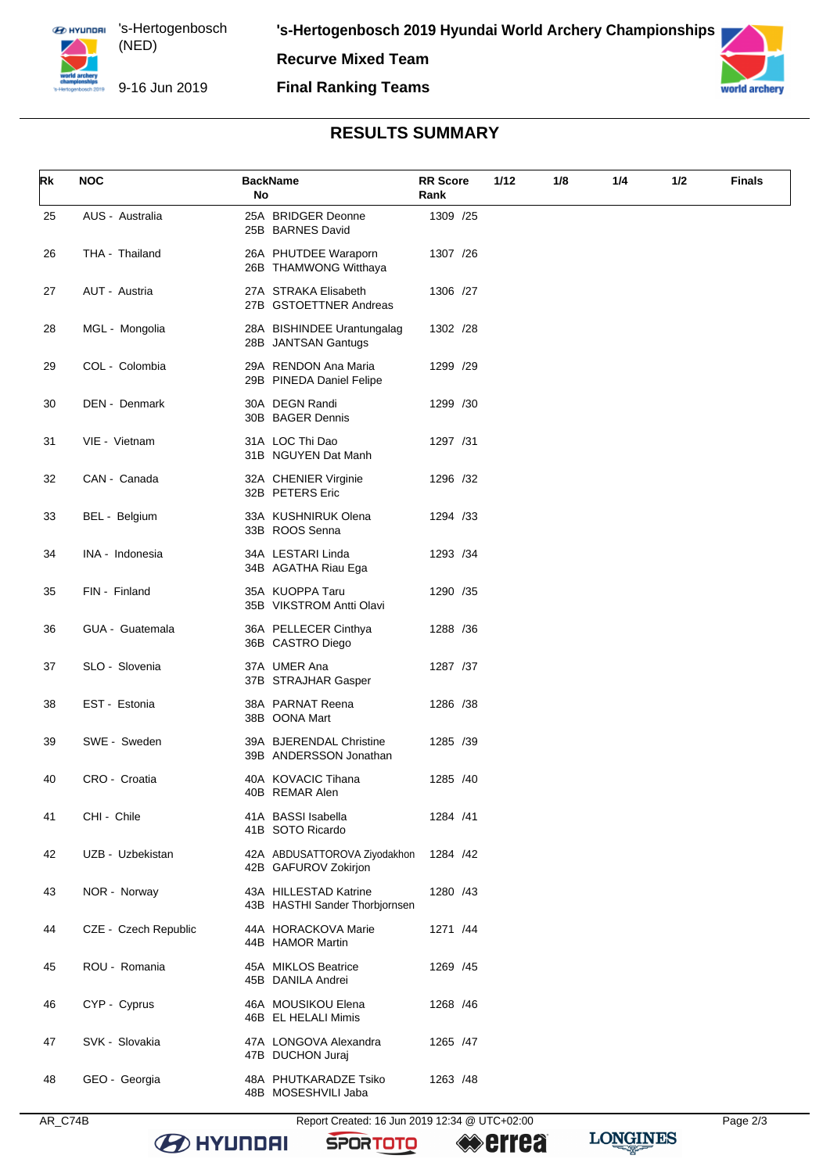**Recurve Mixed Team**

### **Final Ranking Teams**



## **RESULTS SUMMARY**

| Rk | <b>NOC</b>           | <b>BackName</b><br>No                                   | <b>RR Score</b><br>Rank | 1/12<br>1/8 | 1/4 | 1/2 | <b>Finals</b> |
|----|----------------------|---------------------------------------------------------|-------------------------|-------------|-----|-----|---------------|
| 25 | AUS - Australia      | 25A BRIDGER Deonne<br>25B BARNES David                  | 1309 /25                |             |     |     |               |
| 26 | THA - Thailand       | 26A PHUTDEE Waraporn<br>26B THAMWONG Witthaya           | 1307 / 26               |             |     |     |               |
| 27 | AUT - Austria        | 27A STRAKA Elisabeth<br>27B GSTOETTNER Andreas          | 1306 /27                |             |     |     |               |
| 28 | MGL - Mongolia       | 28A BISHINDEE Urantungalag<br>28B JANTSAN Gantugs       | 1302 /28                |             |     |     |               |
| 29 | COL - Colombia       | 29A RENDON Ana Maria<br>29B PINEDA Daniel Felipe        | 1299 /29                |             |     |     |               |
| 30 | DEN - Denmark        | 30A DEGN Randi<br>30B BAGER Dennis                      | 1299 /30                |             |     |     |               |
| 31 | VIE - Vietnam        | 31A LOC Thi Dao<br>31B NGUYEN Dat Manh                  | 1297 /31                |             |     |     |               |
| 32 | CAN - Canada         | 32A CHENIER Virginie<br>32B PETERS Eric                 | 1296 /32                |             |     |     |               |
| 33 | BEL - Belgium        | 33A KUSHNIRUK Olena<br>33B ROOS Senna                   | 1294 /33                |             |     |     |               |
| 34 | INA - Indonesia      | 34A LESTARI Linda<br>34B AGATHA Riau Ega                | 1293 /34                |             |     |     |               |
| 35 | FIN - Finland        | 35A KUOPPA Taru<br>35B VIKSTROM Antti Olavi             | 1290 /35                |             |     |     |               |
| 36 | GUA - Guatemala      | 36A PELLECER Cinthya<br>36B CASTRO Diego                | 1288 / 36               |             |     |     |               |
| 37 | SLO - Slovenia       | 37A UMER Ana<br>37B STRAJHAR Gasper                     | 1287 /37                |             |     |     |               |
| 38 | EST - Estonia        | 38A PARNAT Reena<br>38B OONA Mart                       | 1286 /38                |             |     |     |               |
| 39 | SWE - Sweden         | 39A BJERENDAL Christine<br>39B ANDERSSON Jonathan       | 1285 /39                |             |     |     |               |
| 40 | CRO - Croatia        | 40A KOVACIC Tihana<br>40B REMAR Alen                    | 1285 /40                |             |     |     |               |
| 41 | CHI - Chile          | 41A BASSI Isabella<br>41B SOTO Ricardo                  | 1284 /41                |             |     |     |               |
| 42 | UZB - Uzbekistan     | 42A ABDUSATTOROVA Ziyodakhon<br>42B GAFUROV Zokirjon    | 1284 /42                |             |     |     |               |
| 43 | NOR - Norway         | 43A HILLESTAD Katrine<br>43B HASTHI Sander Thorbjornsen | 1280 /43                |             |     |     |               |
| 44 | CZE - Czech Republic | 44A HORACKOVA Marie<br>44B HAMOR Martin                 | 1271 /44                |             |     |     |               |
| 45 | ROU - Romania        | 45A MIKLOS Beatrice<br>45B DANILA Andrei                | 1269 /45                |             |     |     |               |
| 46 | CYP - Cyprus         | 46A MOUSIKOU Elena<br>46B EL HELALI Mimis               | 1268 / 46               |             |     |     |               |
| 47 | SVK - Slovakia       | 47A LONGOVA Alexandra<br>47B DUCHON Juraj               | 1265 /47                |             |     |     |               |
| 48 | GEO - Georgia        | 48A PHUTKARADZE Tsiko<br>48B MOSESHVILI Jaba            | 1263 / 48               |             |     |     |               |

AR\_C74B Report Created: 16 Jun 2019 12:34 @ UTC+02:00 Page 2/3